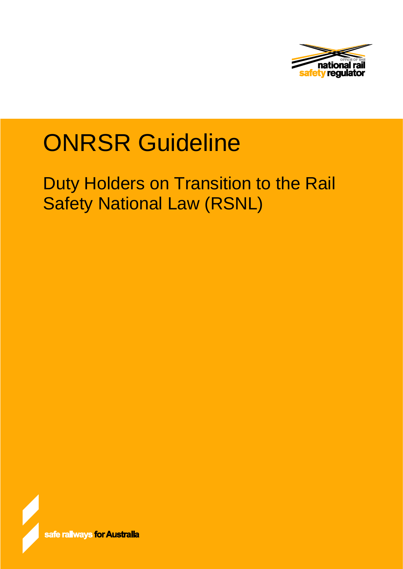

# ONRSR Guideline

Duty Holders on Transition to the Rail Safety National Law (RSNL)

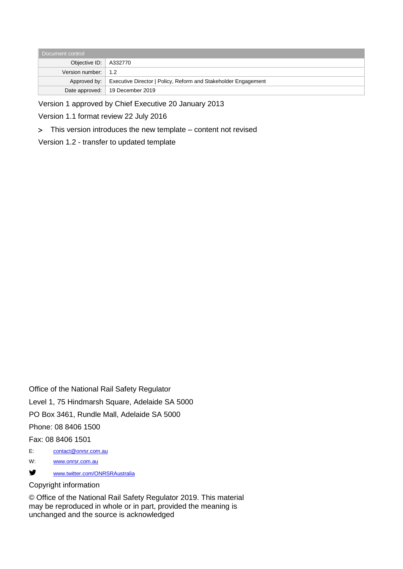| Document control            |                                                                               |  |  |  |  |
|-----------------------------|-------------------------------------------------------------------------------|--|--|--|--|
|                             | Objective ID:   A332770                                                       |  |  |  |  |
| Version number: $\vert$ 1.2 |                                                                               |  |  |  |  |
|                             | Approved by:   Executive Director   Policy, Reform and Stakeholder Engagement |  |  |  |  |
|                             | Date approved:   19 December 2019                                             |  |  |  |  |

Version 1 approved by Chief Executive 20 January 2013

Version 1.1 format review 22 July 2016

> This version introduces the new template – content not revised

Version 1.2 - transfer to updated template

Office of the National Rail Safety Regulator Level 1, 75 Hindmarsh Square, Adelaide SA 5000 PO Box 3461, Rundle Mall, Adelaide SA 5000 Phone: 08 8406 1500 Fax: 08 8406 1501 E: [contact@onrsr.com.au](mailto:contact@onrsr.com.au) W: [www.onrsr.com.au](http://www.onrsr.com.au/)

[www.twitter.com/ONRSRAustralia](http://www.twitter.com/ONRSRAustralia)

#### Copyright information

© Office of the National Rail Safety Regulator 2019. This material may be reproduced in whole or in part, provided the meaning is unchanged and the source is acknowledged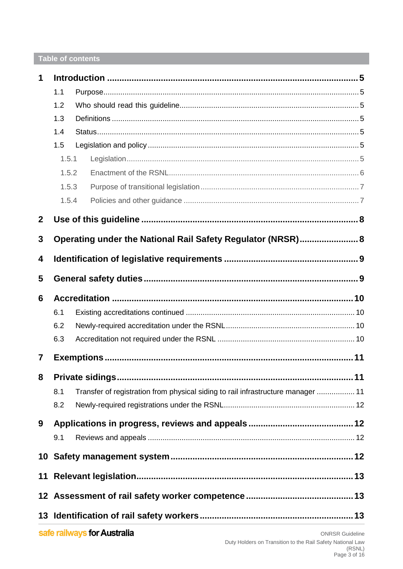# Table of contents

| 1              |                                                             |                                                                                  |  |  |
|----------------|-------------------------------------------------------------|----------------------------------------------------------------------------------|--|--|
|                | 1.1                                                         |                                                                                  |  |  |
|                | 1.2                                                         |                                                                                  |  |  |
|                | 1.3                                                         |                                                                                  |  |  |
|                | 1.4                                                         |                                                                                  |  |  |
|                | 1.5                                                         |                                                                                  |  |  |
|                | 1.5.1                                                       |                                                                                  |  |  |
|                | 1.5.2                                                       |                                                                                  |  |  |
|                | 1.5.3                                                       |                                                                                  |  |  |
|                | 1.5.4                                                       |                                                                                  |  |  |
| $\mathbf{2}$   |                                                             |                                                                                  |  |  |
| 3              | Operating under the National Rail Safety Regulator (NRSR) 8 |                                                                                  |  |  |
| 4              |                                                             |                                                                                  |  |  |
| 5              |                                                             |                                                                                  |  |  |
| 6              |                                                             |                                                                                  |  |  |
|                | 6.1                                                         |                                                                                  |  |  |
|                | 6.2                                                         |                                                                                  |  |  |
|                | 6.3                                                         |                                                                                  |  |  |
| $\overline{7}$ |                                                             |                                                                                  |  |  |
| 8              |                                                             |                                                                                  |  |  |
|                | 8.1                                                         | Transfer of registration from physical siding to rail infrastructure manager  11 |  |  |
|                | 8.2                                                         |                                                                                  |  |  |
| 9              |                                                             |                                                                                  |  |  |
|                | 9.1                                                         |                                                                                  |  |  |
|                |                                                             |                                                                                  |  |  |
|                |                                                             |                                                                                  |  |  |
|                |                                                             |                                                                                  |  |  |
|                |                                                             |                                                                                  |  |  |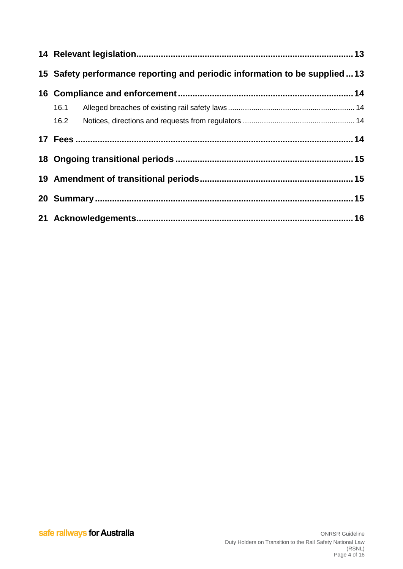| 15 Safety performance reporting and periodic information to be supplied13 |  |  |  |  |
|---------------------------------------------------------------------------|--|--|--|--|
|                                                                           |  |  |  |  |
|                                                                           |  |  |  |  |
|                                                                           |  |  |  |  |
|                                                                           |  |  |  |  |
|                                                                           |  |  |  |  |
|                                                                           |  |  |  |  |
|                                                                           |  |  |  |  |
|                                                                           |  |  |  |  |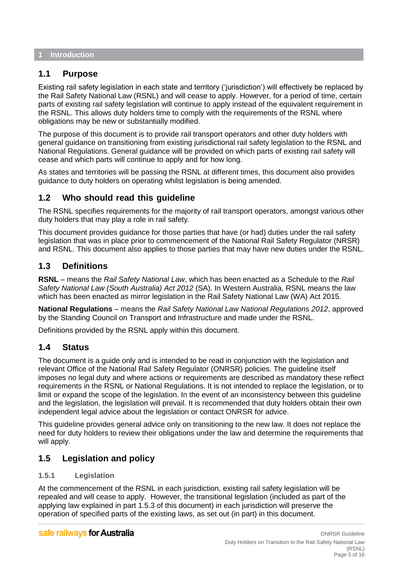#### <span id="page-4-0"></span>**1 Introduction**

## <span id="page-4-1"></span>**1.1 Purpose**

Existing rail safety legislation in each state and territory ('jurisdiction') will effectively be replaced by the Rail Safety National Law (RSNL) and will cease to apply. However, for a period of time, certain parts of existing rail safety legislation will continue to apply instead of the equivalent requirement in the RSNL. This allows duty holders time to comply with the requirements of the RSNL where obligations may be new or substantially modified.

The purpose of this document is to provide rail transport operators and other duty holders with general guidance on transitioning from existing jurisdictional rail safety legislation to the RSNL and National Regulations. General guidance will be provided on which parts of existing rail safety will cease and which parts will continue to apply and for how long.

As states and territories will be passing the RSNL at different times, this document also provides guidance to duty holders on operating whilst legislation is being amended.

# <span id="page-4-2"></span>**1.2 Who should read this guideline**

The RSNL specifies requirements for the majority of rail transport operators, amongst various other duty holders that may play a role in rail safety.

This document provides guidance for those parties that have (or had) duties under the rail safety legislation that was in place prior to commencement of the National Rail Safety Regulator (NRSR) and RSNL. This document also applies to those parties that may have new duties under the RSNL.

# <span id="page-4-3"></span>**1.3 Definitions**

**RSNL** – means the *Rail Safety National Law*, which has been enacted as a Schedule to the *Rail Safety National Law (South Australia) Act 2012* (SA). In Western Australia, RSNL means the law which has been enacted as mirror legislation in the Rail Safety National Law (WA) Act 2015.

**National Regulations** – means the *Rail Safety National Law National Regulations 2012*, approved by the Standing Council on Transport and Infrastructure and made under the RSNL.

Definitions provided by the RSNL apply within this document.

## <span id="page-4-4"></span>**1.4 Status**

The document is a guide only and is intended to be read in conjunction with the legislation and relevant Office of the National Rail Safety Regulator (ONRSR) policies. The guideline itself imposes no legal duty and where actions or requirements are described as mandatory these reflect requirements in the RSNL or National Regulations. It is not intended to replace the legislation, or to limit or expand the scope of the legislation. In the event of an inconsistency between this guideline and the legislation, the legislation will prevail. It is recommended that duty holders obtain their own independent legal advice about the legislation or contact ONRSR for advice.

This guideline provides general advice only on transitioning to the new law. It does not replace the need for duty holders to review their obligations under the law and determine the requirements that will apply.

# <span id="page-4-5"></span>**1.5 Legislation and policy**

## <span id="page-4-6"></span>**1.5.1 Legislation**

At the commencement of the RSNL in each jurisdiction, existing rail safety legislation will be repealed and will cease to apply. However, the transitional legislation (included as part of the applying law explained in part 1.5.3 of this document) in each jurisdiction will preserve the operation of specified parts of the existing laws, as set out (in part) in this document.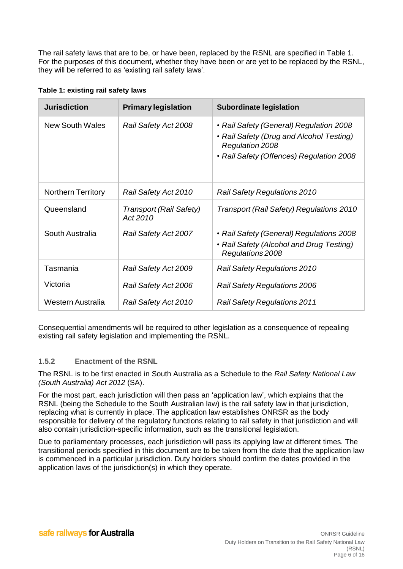The rail safety laws that are to be, or have been, replaced by the RSNL are specified in Table 1. For the purposes of this document, whether they have been or are yet to be replaced by the RSNL, they will be referred to as 'existing rail safety laws'.

| <b>Jurisdiction</b>       | <b>Primary legislation</b>          | <b>Subordinate legislation</b>                                                                                                                            |
|---------------------------|-------------------------------------|-----------------------------------------------------------------------------------------------------------------------------------------------------------|
| New South Wales           | <b>Rail Safety Act 2008</b>         | • Rail Safety (General) Regulation 2008<br>• Rail Safety (Drug and Alcohol Testing)<br><b>Regulation 2008</b><br>• Rail Safety (Offences) Regulation 2008 |
| <b>Northern Territory</b> | Rail Safety Act 2010                | <b>Rail Safety Regulations 2010</b>                                                                                                                       |
| Queensland                | Transport (Rail Safety)<br>Act 2010 | <b>Transport (Rail Safety) Regulations 2010</b>                                                                                                           |
| South Australia           | Rail Safety Act 2007                | • Rail Safety (General) Regulations 2008<br>• Rail Safety (Alcohol and Drug Testing)<br>Regulations 2008                                                  |
| Tasmania                  | <b>Rail Safety Act 2009</b>         | <b>Rail Safety Regulations 2010</b>                                                                                                                       |
| Victoria                  | Rail Safety Act 2006                | <b>Rail Safety Regulations 2006</b>                                                                                                                       |
| Western Australia         | Rail Safety Act 2010                | <b>Rail Safety Regulations 2011</b>                                                                                                                       |

Consequential amendments will be required to other legislation as a consequence of repealing existing rail safety legislation and implementing the RSNL.

## <span id="page-5-0"></span>**1.5.2 Enactment of the RSNL**

The RSNL is to be first enacted in South Australia as a Schedule to the *Rail Safety National Law (South Australia) Act 2012* (SA).

For the most part, each jurisdiction will then pass an 'application law', which explains that the RSNL (being the Schedule to the South Australian law) is the rail safety law in that jurisdiction, replacing what is currently in place. The application law establishes ONRSR as the body responsible for delivery of the regulatory functions relating to rail safety in that jurisdiction and will also contain jurisdiction-specific information, such as the transitional legislation.

Due to parliamentary processes, each jurisdiction will pass its applying law at different times. The transitional periods specified in this document are to be taken from the date that the application law is commenced in a particular jurisdiction. Duty holders should confirm the dates provided in the application laws of the jurisdiction(s) in which they operate.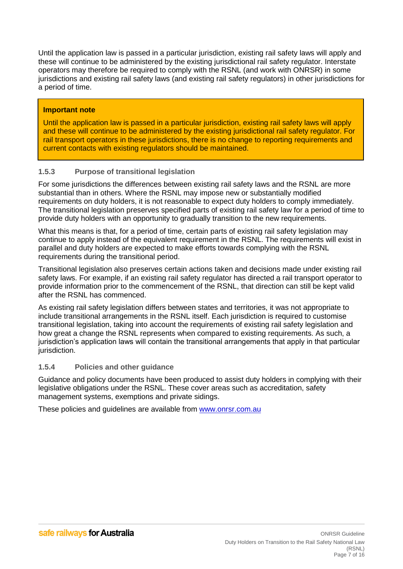Until the application law is passed in a particular jurisdiction, existing rail safety laws will apply and these will continue to be administered by the existing jurisdictional rail safety regulator. Interstate operators may therefore be required to comply with the RSNL (and work with ONRSR) in some jurisdictions and existing rail safety laws (and existing rail safety regulators) in other jurisdictions for a period of time.

## **Important note**

Until the application law is passed in a particular jurisdiction, existing rail safety laws will apply and these will continue to be administered by the existing jurisdictional rail safety regulator. For rail transport operators in these jurisdictions, there is no change to reporting requirements and current contacts with existing regulators should be maintained.

## <span id="page-6-0"></span>**1.5.3 Purpose of transitional legislation**

For some jurisdictions the differences between existing rail safety laws and the RSNL are more substantial than in others. Where the RSNL may impose new or substantially modified requirements on duty holders, it is not reasonable to expect duty holders to comply immediately. The transitional legislation preserves specified parts of existing rail safety law for a period of time to provide duty holders with an opportunity to gradually transition to the new requirements.

What this means is that, for a period of time, certain parts of existing rail safety legislation may continue to apply instead of the equivalent requirement in the RSNL. The requirements will exist in parallel and duty holders are expected to make efforts towards complying with the RSNL requirements during the transitional period.

Transitional legislation also preserves certain actions taken and decisions made under existing rail safety laws. For example, if an existing rail safety regulator has directed a rail transport operator to provide information prior to the commencement of the RSNL, that direction can still be kept valid after the RSNL has commenced.

As existing rail safety legislation differs between states and territories, it was not appropriate to include transitional arrangements in the RSNL itself. Each jurisdiction is required to customise transitional legislation, taking into account the requirements of existing rail safety legislation and how great a change the RSNL represents when compared to existing requirements. As such, a jurisdiction's application laws will contain the transitional arrangements that apply in that particular jurisdiction.

## <span id="page-6-1"></span>**1.5.4 Policies and other guidance**

Guidance and policy documents have been produced to assist duty holders in complying with their legislative obligations under the RSNL. These cover areas such as accreditation, safety management systems, exemptions and private sidings.

These policies and guidelines are available from [www.onrsr.com.au](http://www.onrsr.com.au/)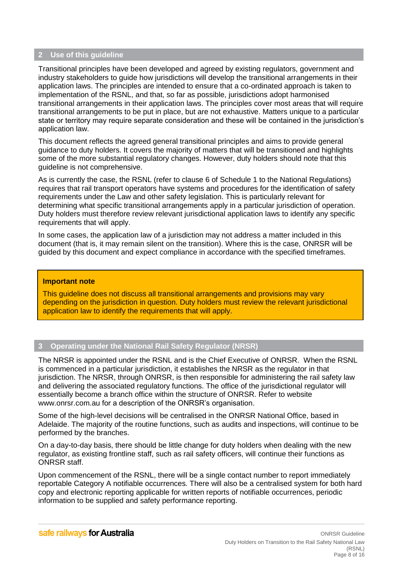#### <span id="page-7-0"></span>**2 Use of this guideline**

Transitional principles have been developed and agreed by existing regulators, government and industry stakeholders to guide how jurisdictions will develop the transitional arrangements in their application laws. The principles are intended to ensure that a co-ordinated approach is taken to implementation of the RSNL, and that, so far as possible, jurisdictions adopt harmonised transitional arrangements in their application laws. The principles cover most areas that will require transitional arrangements to be put in place, but are not exhaustive. Matters unique to a particular state or territory may require separate consideration and these will be contained in the jurisdiction's application law.

This document reflects the agreed general transitional principles and aims to provide general guidance to duty holders. It covers the majority of matters that will be transitioned and highlights some of the more substantial regulatory changes. However, duty holders should note that this guideline is not comprehensive.

As is currently the case, the RSNL (refer to clause 6 of Schedule 1 to the National Regulations) requires that rail transport operators have systems and procedures for the identification of safety requirements under the Law and other safety legislation. This is particularly relevant for determining what specific transitional arrangements apply in a particular jurisdiction of operation. Duty holders must therefore review relevant jurisdictional application laws to identify any specific requirements that will apply.

In some cases, the application law of a jurisdiction may not address a matter included in this document (that is, it may remain silent on the transition). Where this is the case, ONRSR will be guided by this document and expect compliance in accordance with the specified timeframes.

#### **Important note**

This guideline does not discuss all transitional arrangements and provisions may vary depending on the jurisdiction in question. Duty holders must review the relevant jurisdictional application law to identify the requirements that will apply.

#### <span id="page-7-1"></span>**3 Operating under the National Rail Safety Regulator (NRSR)**

The NRSR is appointed under the RSNL and is the Chief Executive of ONRSR. When the RSNL is commenced in a particular jurisdiction, it establishes the NRSR as the regulator in that jurisdiction. The NRSR, through ONRSR, is then responsible for administering the rail safety law and delivering the associated regulatory functions. The office of the jurisdictional regulator will essentially become a branch office within the structure of ONRSR. Refer to website [www.onrsr.com.au](http://www.onrsr.com.au/) for a description of the ONRSR's organisation.

Some of the high-level decisions will be centralised in the ONRSR National Office, based in Adelaide. The majority of the routine functions, such as audits and inspections, will continue to be performed by the branches.

On a day-to-day basis, there should be little change for duty holders when dealing with the new regulator, as existing frontline staff, such as rail safety officers, will continue their functions as ONRSR staff.

Upon commencement of the RSNL, there will be a single contact number to report immediately reportable Category A notifiable occurrences. There will also be a centralised system for both hard copy and electronic reporting applicable for written reports of notifiable occurrences, periodic information to be supplied and safety performance reporting.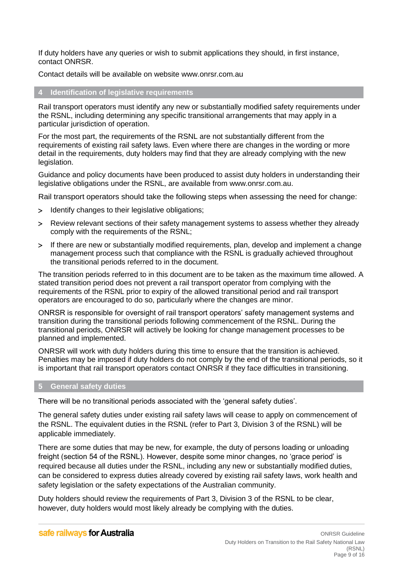If duty holders have any queries or wish to submit applications they should, in first instance, contact ONRSR.

Contact details will be available on website [www.onrsr.com.au](http://www.onrsr.com.au/)

#### <span id="page-8-0"></span>**4 Identification of legislative requirements**

Rail transport operators must identify any new or substantially modified safety requirements under the RSNL, including determining any specific transitional arrangements that may apply in a particular jurisdiction of operation.

For the most part, the requirements of the RSNL are not substantially different from the requirements of existing rail safety laws. Even where there are changes in the wording or more detail in the requirements, duty holders may find that they are already complying with the new legislation.

Guidance and policy documents have been produced to assist duty holders in understanding their legislative obligations under the RSNL, are available from [www.onrsr.com.au.](http://www.onrsr.com.au/)

Rail transport operators should take the following steps when assessing the need for change:

- Identify changes to their legislative obligations;
- Review relevant sections of their safety management systems to assess whether they already comply with the requirements of the RSNL;
- If there are new or substantially modified requirements, plan, develop and implement a change management process such that compliance with the RSNL is gradually achieved throughout the transitional periods referred to in the document.

The transition periods referred to in this document are to be taken as the maximum time allowed. A stated transition period does not prevent a rail transport operator from complying with the requirements of the RSNL prior to expiry of the allowed transitional period and rail transport operators are encouraged to do so, particularly where the changes are minor.

ONRSR is responsible for oversight of rail transport operators' safety management systems and transition during the transitional periods following commencement of the RSNL. During the transitional periods, ONRSR will actively be looking for change management processes to be planned and implemented.

ONRSR will work with duty holders during this time to ensure that the transition is achieved. Penalties may be imposed if duty holders do not comply by the end of the transitional periods, so it is important that rail transport operators contact ONRSR if they face difficulties in transitioning.

#### <span id="page-8-1"></span>**5 General safety duties**

There will be no transitional periods associated with the 'general safety duties'.

The general safety duties under existing rail safety laws will cease to apply on commencement of the RSNL. The equivalent duties in the RSNL (refer to Part 3, Division 3 of the RSNL) will be applicable immediately.

There are some duties that may be new, for example, the duty of persons loading or unloading freight (section 54 of the RSNL). However, despite some minor changes, no 'grace period' is required because all duties under the RSNL, including any new or substantially modified duties, can be considered to express duties already covered by existing rail safety laws, work health and safety legislation or the safety expectations of the Australian community.

Duty holders should review the requirements of Part 3, Division 3 of the RSNL to be clear, however, duty holders would most likely already be complying with the duties.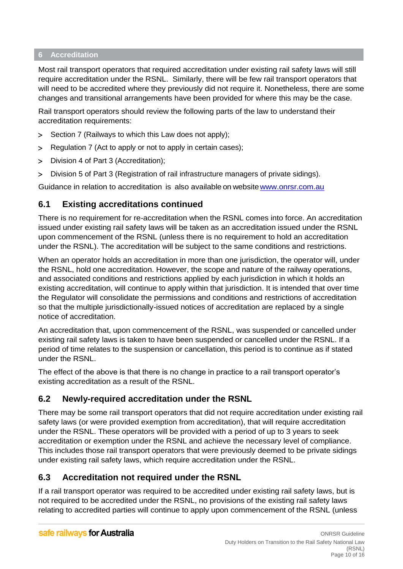## <span id="page-9-0"></span>**6 Accreditation**

Most rail transport operators that required accreditation under existing rail safety laws will still require accreditation under the RSNL. Similarly, there will be few rail transport operators that will need to be accredited where they previously did not require it. Nonetheless, there are some changes and transitional arrangements have been provided for where this may be the case.

Rail transport operators should review the following parts of the law to understand their accreditation requirements:

- Section 7 (Railways to which this Law does not apply);
- > Regulation 7 (Act to apply or not to apply in certain cases):
- Division 4 of Part 3 (Accreditation);
- Division 5 of Part 3 (Registration of rail infrastructure managers of private sidings).

Guidance in relation to accreditation is also available on websit[ewww.onrsr.com.au](http://www.onrsr.com.au/)

# <span id="page-9-1"></span>**6.1 Existing accreditations continued**

There is no requirement for re-accreditation when the RSNL comes into force. An accreditation issued under existing rail safety laws will be taken as an accreditation issued under the RSNL upon commencement of the RSNL (unless there is no requirement to hold an accreditation under the RSNL). The accreditation will be subject to the same conditions and restrictions.

When an operator holds an accreditation in more than one jurisdiction, the operator will, under the RSNL, hold one accreditation. However, the scope and nature of the railway operations, and associated conditions and restrictions applied by each jurisdiction in which it holds an existing accreditation, will continue to apply within that jurisdiction. It is intended that over time the Regulator will consolidate the permissions and conditions and restrictions of accreditation so that the multiple jurisdictionally-issued notices of accreditation are replaced by a single notice of accreditation.

An accreditation that, upon commencement of the RSNL, was suspended or cancelled under existing rail safety laws is taken to have been suspended or cancelled under the RSNL. If a period of time relates to the suspension or cancellation, this period is to continue as if stated under the RSNL.

The effect of the above is that there is no change in practice to a rail transport operator's existing accreditation as a result of the RSNL.

# <span id="page-9-2"></span>**6.2 Newly-required accreditation under the RSNL**

There may be some rail transport operators that did not require accreditation under existing rail safety laws (or were provided exemption from accreditation), that will require accreditation under the RSNL. These operators will be provided with a period of up to 3 years to seek accreditation or exemption under the RSNL and achieve the necessary level of compliance. This includes those rail transport operators that were previously deemed to be private sidings under existing rail safety laws, which require accreditation under the RSNL.

# <span id="page-9-3"></span>**6.3 Accreditation not required under the RSNL**

If a rail transport operator was required to be accredited under existing rail safety laws, but is not required to be accredited under the RSNL, no provisions of the existing rail safety laws relating to accredited parties will continue to apply upon commencement of the RSNL (unless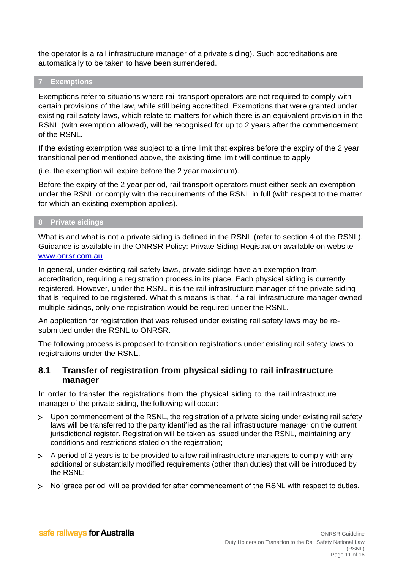the operator is a rail infrastructure manager of a private siding). Such accreditations are automatically to be taken to have been surrendered.

#### <span id="page-10-0"></span>**7 Exemptions**

Exemptions refer to situations where rail transport operators are not required to comply with certain provisions of the law, while still being accredited. Exemptions that were granted under existing rail safety laws, which relate to matters for which there is an equivalent provision in the RSNL (with exemption allowed), will be recognised for up to 2 years after the commencement of the RSNL.

If the existing exemption was subject to a time limit that expires before the expiry of the 2 year transitional period mentioned above, the existing time limit will continue to apply

(i.e. the exemption will expire before the 2 year maximum).

Before the expiry of the 2 year period, rail transport operators must either seek an exemption under the RSNL or comply with the requirements of the RSNL in full (with respect to the matter for which an existing exemption applies).

#### <span id="page-10-1"></span>**8 Private sidings**

What is and what is not a private siding is defined in the RSNL (refer to section 4 of the RSNL). Guidance is available in the ONRSR Policy: Private Siding Registration available on website [www.onrsr.com.au](http://www.onrsr.com.au/)

In general, under existing rail safety laws, private sidings have an exemption from accreditation, requiring a registration process in its place. Each physical siding is currently registered. However, under the RSNL it is the rail infrastructure manager of the private siding that is required to be registered. What this means is that, if a rail infrastructure manager owned multiple sidings, only one registration would be required under the RSNL.

An application for registration that was refused under existing rail safety laws may be resubmitted under the RSNL to ONRSR.

The following process is proposed to transition registrations under existing rail safety laws to registrations under the RSNL.

## <span id="page-10-2"></span>**8.1 Transfer of registration from physical siding to rail infrastructure manager**

In order to transfer the registrations from the physical siding to the rail infrastructure manager of the private siding, the following will occur:

- Upon commencement of the RSNL, the registration of a private siding under existing rail safety laws will be transferred to the party identified as the rail infrastructure manager on the current jurisdictional register. Registration will be taken as issued under the RSNL, maintaining any conditions and restrictions stated on the registration;
- A period of 2 years is to be provided to allow rail infrastructure managers to comply with any additional or substantially modified requirements (other than duties) that will be introduced by the RSNL;
- No 'grace period' will be provided for after commencement of the RSNL with respect to duties.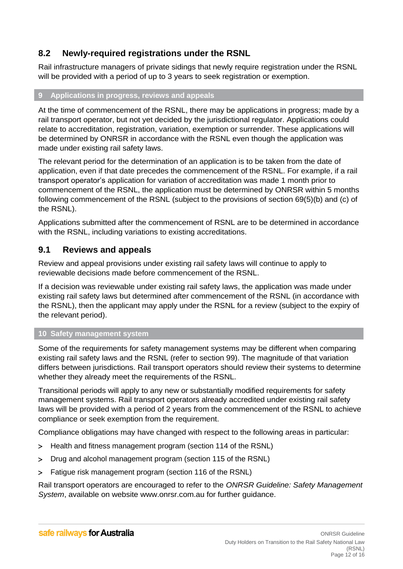# <span id="page-11-0"></span>**8.2 Newly-required registrations under the RSNL**

Rail infrastructure managers of private sidings that newly require registration under the RSNL will be provided with a period of up to 3 years to seek registration or exemption.

## <span id="page-11-1"></span>**9 Applications in progress, reviews and appeals**

At the time of commencement of the RSNL, there may be applications in progress; made by a rail transport operator, but not yet decided by the jurisdictional regulator. Applications could relate to accreditation, registration, variation, exemption or surrender. These applications will be determined by ONRSR in accordance with the RSNL even though the application was made under existing rail safety laws.

The relevant period for the determination of an application is to be taken from the date of application, even if that date precedes the commencement of the RSNL. For example, if a rail transport operator's application for variation of accreditation was made 1 month prior to commencement of the RSNL, the application must be determined by ONRSR within 5 months following commencement of the RSNL (subject to the provisions of section 69(5)(b) and (c) of the RSNL).

Applications submitted after the commencement of RSNL are to be determined in accordance with the RSNL, including variations to existing accreditations.

# <span id="page-11-2"></span>**9.1 Reviews and appeals**

Review and appeal provisions under existing rail safety laws will continue to apply to reviewable decisions made before commencement of the RSNL.

If a decision was reviewable under existing rail safety laws, the application was made under existing rail safety laws but determined after commencement of the RSNL (in accordance with the RSNL), then the applicant may apply under the RSNL for a review (subject to the expiry of the relevant period).

## <span id="page-11-3"></span>**10 Safety management system**

Some of the requirements for safety management systems may be different when comparing existing rail safety laws and the RSNL (refer to section 99). The magnitude of that variation differs between jurisdictions. Rail transport operators should review their systems to determine whether they already meet the requirements of the RSNL.

Transitional periods will apply to any new or substantially modified requirements for safety management systems. Rail transport operators already accredited under existing rail safety laws will be provided with a period of 2 years from the commencement of the RSNL to achieve compliance or seek exemption from the requirement.

Compliance obligations may have changed with respect to the following areas in particular:

- > Health and fitness management program (section 114 of the RSNL)
- Drug and alcohol management program (section 115 of the RSNL)
- Fatigue risk management program (section 116 of the RSNL)

Rail transport operators are encouraged to refer to the *ONRSR Guideline: Safety Management System*, available on website [www.onrsr.com.au](http://www.onrsr.com.au/) for further guidance.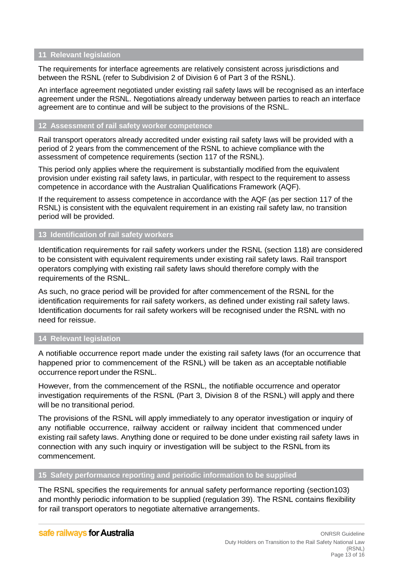#### <span id="page-12-0"></span>**11 Relevant legislation**

The requirements for interface agreements are relatively consistent across jurisdictions and between the RSNL (refer to Subdivision 2 of Division 6 of Part 3 of the RSNL).

An interface agreement negotiated under existing rail safety laws will be recognised as an interface agreement under the RSNL. Negotiations already underway between parties to reach an interface agreement are to continue and will be subject to the provisions of the RSNL.

#### <span id="page-12-1"></span>**12 Assessment of rail safety worker competence**

Rail transport operators already accredited under existing rail safety laws will be provided with a period of 2 years from the commencement of the RSNL to achieve compliance with the assessment of competence requirements (section 117 of the RSNL).

This period only applies where the requirement is substantially modified from the equivalent provision under existing rail safety laws, in particular, with respect to the requirement to assess competence in accordance with the Australian Qualifications Framework (AQF).

If the requirement to assess competence in accordance with the AQF (as per section 117 of the RSNL) is consistent with the equivalent requirement in an existing rail safety law, no transition period will be provided.

## <span id="page-12-2"></span>**13 Identification of rail safety workers**

Identification requirements for rail safety workers under the RSNL (section 118) are considered to be consistent with equivalent requirements under existing rail safety laws. Rail transport operators complying with existing rail safety laws should therefore comply with the requirements of the RSNL.

As such, no grace period will be provided for after commencement of the RSNL for the identification requirements for rail safety workers, as defined under existing rail safety laws. Identification documents for rail safety workers will be recognised under the RSNL with no need for reissue.

#### <span id="page-12-3"></span>**14 Relevant legislation**

A notifiable occurrence report made under the existing rail safety laws (for an occurrence that happened prior to commencement of the RSNL) will be taken as an acceptable notifiable occurrence report under the RSNL.

However, from the commencement of the RSNL, the notifiable occurrence and operator investigation requirements of the RSNL (Part 3, Division 8 of the RSNL) will apply and there will be no transitional period.

The provisions of the RSNL will apply immediately to any operator investigation or inquiry of any notifiable occurrence, railway accident or railway incident that commenced under existing rail safety laws. Anything done or required to be done under existing rail safety laws in connection with any such inquiry or investigation will be subject to the RSNL from its commencement.

#### <span id="page-12-4"></span>**15 Safety performance reporting and periodic information to be supplied**

The RSNL specifies the requirements for annual safety performance reporting (section103) and monthly periodic information to be supplied (regulation 39). The RSNL contains flexibility for rail transport operators to negotiate alternative arrangements.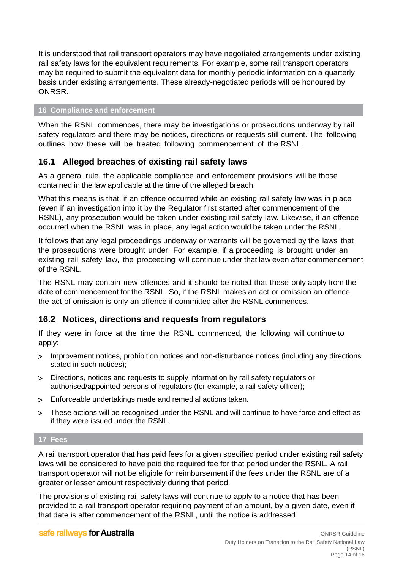It is understood that rail transport operators may have negotiated arrangements under existing rail safety laws for the equivalent requirements. For example, some rail transport operators may be required to submit the equivalent data for monthly periodic information on a quarterly basis under existing arrangements. These already-negotiated periods will be honoured by ONRSR.

#### <span id="page-13-0"></span>**16 Compliance and enforcement**

When the RSNL commences, there may be investigations or prosecutions underway by rail safety regulators and there may be notices, directions or requests still current. The following outlines how these will be treated following commencement of the RSNL.

# <span id="page-13-1"></span>**16.1 Alleged breaches of existing rail safety laws**

As a general rule, the applicable compliance and enforcement provisions will be those contained in the law applicable at the time of the alleged breach.

What this means is that, if an offence occurred while an existing rail safety law was in place (even if an investigation into it by the Regulator first started after commencement of the RSNL), any prosecution would be taken under existing rail safety law. Likewise, if an offence occurred when the RSNL was in place, any legal action would be taken under the RSNL.

It follows that any legal proceedings underway or warrants will be governed by the laws that the prosecutions were brought under. For example, if a proceeding is brought under an existing rail safety law, the proceeding will continue under that law even after commencement of the RSNL.

The RSNL may contain new offences and it should be noted that these only apply from the date of commencement for the RSNL. So, if the RSNL makes an act or omission an offence, the act of omission is only an offence if committed after the RSNL commences.

# <span id="page-13-2"></span>**16.2 Notices, directions and requests from regulators**

If they were in force at the time the RSNL commenced, the following will continue to apply:

- Improvement notices, prohibition notices and non-disturbance notices (including any directions stated in such notices);
- Directions, notices and requests to supply information by rail safety regulators or authorised/appointed persons of regulators (for example, a rail safety officer);
- Enforceable undertakings made and remedial actions taken.
- These actions will be recognised under the RSNL and will continue to have force and effect as if they were issued under the RSNL.

#### <span id="page-13-3"></span>**17 Fees**

A rail transport operator that has paid fees for a given specified period under existing rail safety laws will be considered to have paid the required fee for that period under the RSNL. A rail transport operator will not be eligible for reimbursement if the fees under the RSNL are of a greater or lesser amount respectively during that period.

The provisions of existing rail safety laws will continue to apply to a notice that has been provided to a rail transport operator requiring payment of an amount, by a given date, even if that date is after commencement of the RSNL, until the notice is addressed.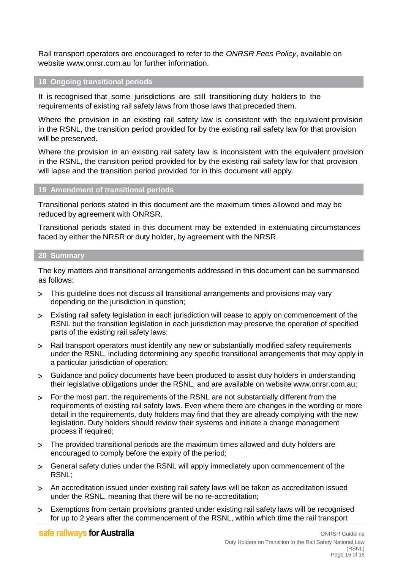Rail transport operators are encouraged to refer to the *ONRSR Fees Policy*, available on website [www.onrsr.com.au](http://www.onrsr.com.au/) for further information.

#### <span id="page-14-0"></span>**18 Ongoing transitional periods**

It is recognised that some jurisdictions are still transitioning duty holders to the requirements of existing rail safety laws from those laws that preceded them.

Where the provision in an existing rail safety law is consistent with the equivalent provision in the RSNL, the transition period provided for by the existing rail safety law for that provision will be preserved.

Where the provision in an existing rail safety law is inconsistent with the equivalent provision in the RSNL, the transition period provided for by the existing rail safety law for that provision will lapse and the transition period provided for in this document will apply.

#### <span id="page-14-1"></span>**19 Amendment of transitional periods**

Transitional periods stated in this document are the maximum times allowed and may be reduced by agreement with ONRSR.

Transitional periods stated in this document may be extended in extenuating circumstances faced by either the NRSR or duty holder, by agreement with the NRSR.

#### <span id="page-14-2"></span>**20 Summary**

The key matters and transitional arrangements addressed in this document can be summarised as follows:

- This guideline does not discuss all transitional arrangements and provisions may vary depending on the jurisdiction in question;
- Existing rail safety legislation in each jurisdiction will cease to apply on commencement of the RSNL but the transition legislation in each jurisdiction may preserve the operation of specified parts of the existing rail safety laws;
- Rail transport operators must identify any new or substantially modified safety requirements under the RSNL, including determining any specific transitional arrangements that may apply in a particular jurisdiction of operation;
- Guidance and policy documents have been produced to assist duty holders in understanding their legislative obligations under the RSNL, and are available on website [www.onrsr.com.au;](http://www.onrsr.com.au/)
- For the most part, the requirements of the RSNL are not substantially different from the requirements of existing rail safety laws. Even where there are changes in the wording or more detail in the requirements, duty holders may find that they are already complying with the new legislation. Duty holders should review their systems and initiate a change management process if required;
- The provided transitional periods are the maximum times allowed and duty holders are encouraged to comply before the expiry of the period;
- General safety duties under the RSNL will apply immediately upon commencement of the RSNL;
- An accreditation issued under existing rail safety laws will be taken as accreditation issued under the RSNL, meaning that there will be no re-accreditation;
- Exemptions from certain provisions granted under existing rail safety laws will be recognised for up to 2 years after the commencement of the RSNL, within which time the rail transport